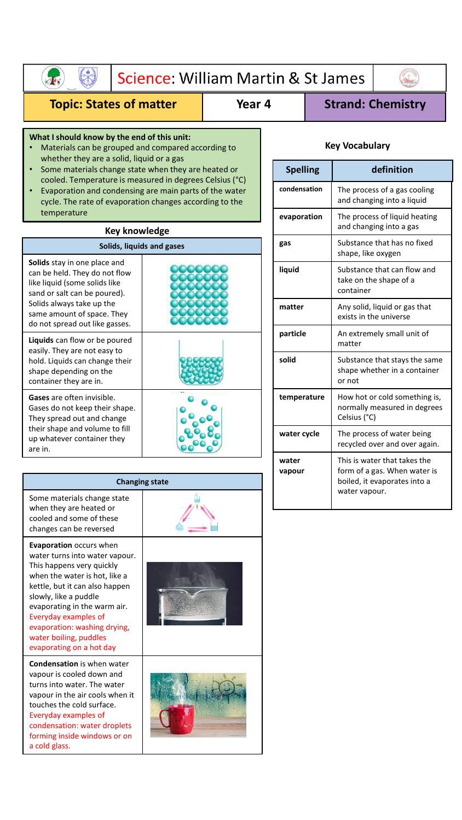| Science: William Martin & St James                                                                                                                                                                                                                                                                                               |                                                                                                                   |                                                                                                                                  |                 |  |                                      |                                                               |
|----------------------------------------------------------------------------------------------------------------------------------------------------------------------------------------------------------------------------------------------------------------------------------------------------------------------------------|-------------------------------------------------------------------------------------------------------------------|----------------------------------------------------------------------------------------------------------------------------------|-----------------|--|--------------------------------------|---------------------------------------------------------------|
| <b>Topic: States of matter</b><br>Year 4                                                                                                                                                                                                                                                                                         |                                                                                                                   |                                                                                                                                  |                 |  |                                      | <b>Strand: Chemistry</b>                                      |
| What I should know by the end of this unit:<br>Materials can be grouped and compared according to<br>whether they are a solid, liquid or a gas                                                                                                                                                                                   |                                                                                                                   |                                                                                                                                  |                 |  | <b>Key Vocabulary</b>                |                                                               |
| $\bullet$                                                                                                                                                                                                                                                                                                                        | Some materials change state when they are heated or<br>cooled. Temperature is measured in degrees Celsius (°C)    |                                                                                                                                  | <b>Spelling</b> |  |                                      | definition                                                    |
| $\bullet$<br>temperature                                                                                                                                                                                                                                                                                                         | Evaporation and condensing are main parts of the water<br>cycle. The rate of evaporation changes according to the |                                                                                                                                  | condensation    |  |                                      | The process of a gas cooling<br>and changing into a liquid    |
|                                                                                                                                                                                                                                                                                                                                  | <b>Key knowledge</b>                                                                                              |                                                                                                                                  | evaporation     |  |                                      | The process of liquid heating<br>and changing into a gas      |
|                                                                                                                                                                                                                                                                                                                                  | Solids, liquids and gases                                                                                         |                                                                                                                                  | gas             |  | shape, like oxygen                   | Substance that has no fixed                                   |
| Solids stay in one place and<br>can be held. They do not flow<br>like liquid (some solids like<br>sand or salt can be poured).                                                                                                                                                                                                   |                                                                                                                   |                                                                                                                                  | liquid          |  | container                            | Substance that can flow and<br>take on the shape of a         |
| Solids always take up the<br>same amount of space. They                                                                                                                                                                                                                                                                          |                                                                                                                   |                                                                                                                                  | matter          |  |                                      | Any solid, liquid or gas that<br>exists in the universe       |
| do not spread out like gasses.<br>Liquids can flow or be poured                                                                                                                                                                                                                                                                  |                                                                                                                   |                                                                                                                                  | particle        |  | An extremely small unit of<br>matter |                                                               |
| easily. They are not easy to<br>hold. Liquids can change their<br>shape depending on the<br>container they are in.                                                                                                                                                                                                               |                                                                                                                   |                                                                                                                                  | solid           |  | or not                               | Substance that stays the same<br>shape whether in a container |
| Gases are often invisible.<br>Gases do not keep their shape.<br>They spread out and change                                                                                                                                                                                                                                       |                                                                                                                   |                                                                                                                                  | temperature     |  | Celsius (°C)                         | How hot or cold something is,<br>normally measured in degrees |
| their shape and volume to fill<br>up whatever container they<br>are in.                                                                                                                                                                                                                                                          |                                                                                                                   |                                                                                                                                  | water cycle     |  |                                      | The process of water being<br>recycled over and over again.   |
| <b>Changing state</b>                                                                                                                                                                                                                                                                                                            |                                                                                                                   | This is water that takes the<br>water<br>form of a gas. When water is<br>vapour<br>boiled, it evaporates into a<br>water vapour. |                 |  |                                      |                                                               |
| Some materials change state<br>when they are heated or<br>cooled and some of these<br>changes can be reversed                                                                                                                                                                                                                    |                                                                                                                   |                                                                                                                                  |                 |  |                                      |                                                               |
| Evaporation occurs when<br>water turns into water vapour.<br>This happens very quickly<br>when the water is hot, like a<br>kettle, but it can also happen<br>slowly, like a puddle<br>evaporating in the warm air.<br>Everyday examples of<br>evaporation: washing drying,<br>water boiling, puddles<br>evaporating on a hot day |                                                                                                                   |                                                                                                                                  |                 |  |                                      |                                                               |
| <b>Condensation</b> is when water<br>vapour is cooled down and<br>turns into water. The water<br>vapour in the air cools when it<br>touches the cold surface.<br>Everyday examples of<br>condensation: water droplets<br>forming inside windows or on                                                                            |                                                                                                                   |                                                                                                                                  |                 |  |                                      |                                                               |

forming inside windows or on

a cold glass.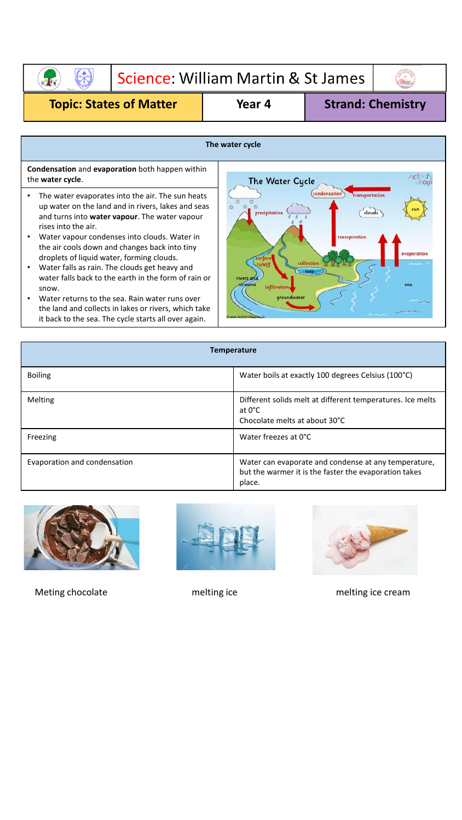Science: William Martin & St James

 $\begin{pmatrix} 1 \\ 1 \\ 0 \end{pmatrix}$ 

**Topic: States of Matter Year 4 Strand: Chemistry** 

**AND** 

 $\left(\begin{matrix} 1 \\ 1 \end{matrix}\right)$ 

| The water cycle                                                                                                                                                                                                                                                                                                                                                                                                                                                                                                                                                                                                  |                                                                                                                                                                                                                                         |  |  |  |
|------------------------------------------------------------------------------------------------------------------------------------------------------------------------------------------------------------------------------------------------------------------------------------------------------------------------------------------------------------------------------------------------------------------------------------------------------------------------------------------------------------------------------------------------------------------------------------------------------------------|-----------------------------------------------------------------------------------------------------------------------------------------------------------------------------------------------------------------------------------------|--|--|--|
| <b>Condensation</b> and <b>evaporation</b> both happen within<br>the water cycle.                                                                                                                                                                                                                                                                                                                                                                                                                                                                                                                                | <b>The Water Cycle</b>                                                                                                                                                                                                                  |  |  |  |
| The water evaporates into the air. The sun heats<br>up water on the land and in rivers, lakes and seas<br>and turns into water vapour. The water vapour<br>rises into the air.<br>Water vapour condenses into clouds. Water in<br>the air cools down and changes back into tiny<br>droplets of liquid water, forming clouds.<br>Water falls as rain. The clouds get heavy and<br>water falls back to the earth in the form of rain or<br>snow.<br>Water returns to the sea. Rain water runs over<br>the land and collects in lakes or rivers, which take<br>it back to the sea. The cycle starts all over again. | condensation<br>transportation<br>precipitation<br>clouds<br>transpiration<br>evaporation<br><b>urfac</b><br>collection<br>runof<br><b>Southern</b><br>rivers and<br>sea<br>treams<br>infiltration,<br>groundwater<br>ww.ActivityVillag |  |  |  |
| <b>Temperature</b>                                                                                                                                                                                                                                                                                                                                                                                                                                                                                                                                                                                               |                                                                                                                                                                                                                                         |  |  |  |

| <b>Boiling</b>               | Water boils at exactly 100 degrees Celsius (100°C)                                                                      |
|------------------------------|-------------------------------------------------------------------------------------------------------------------------|
| <b>Melting</b>               | Different solids melt at different temperatures. Ice melts<br>at 0°C<br>Chocolate melts at about 30°C                   |
| Freezing                     | Water freezes at 0°C                                                                                                    |
| Evaporation and condensation | Water can evaporate and condense at any temperature,<br>but the warmer it is the faster the evaporation takes<br>place. |







Meting chocolate and melting ice melting ice melting ice melting ice cream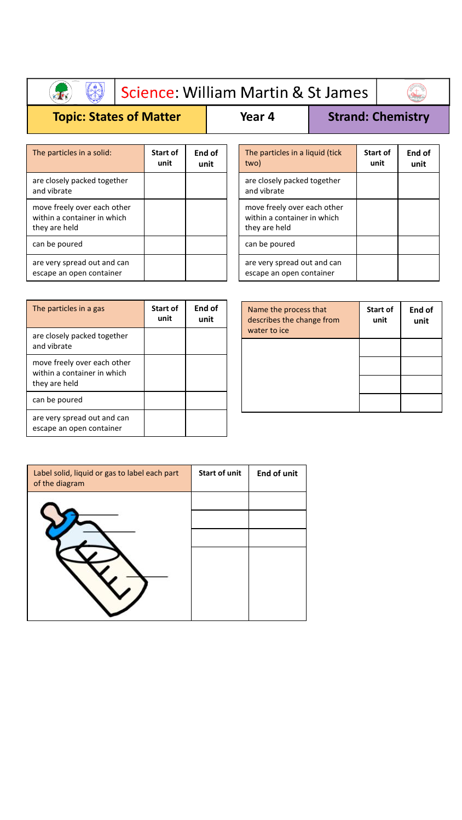## Science: William Martin & St James

 $\begin{pmatrix} 1 \\ 1 \end{pmatrix}$ 

**End of unit**

## **Topic: States of Matter | Year 4 | Strand: Chemistry**

S

 $\mathbf{A}$ 

two)

and vibrate

they are held

can be poured

The particles in a liquid (tick

are closely packed together

move freely over each other within a container in which

are very spread out and can escape an open container

**Start of unit**

| The particles in a solid:                                                   | <b>Start of</b><br>unit | End of<br>unit |
|-----------------------------------------------------------------------------|-------------------------|----------------|
| are closely packed together<br>and vibrate                                  |                         |                |
| move freely over each other<br>within a container in which<br>they are held |                         |                |
| can be poured                                                               |                         |                |
| are very spread out and can<br>escape an open container                     |                         |                |

| The particles in a gas                                                      | <b>Start of</b><br>unit | End of<br>unit |
|-----------------------------------------------------------------------------|-------------------------|----------------|
| are closely packed together<br>and vibrate                                  |                         |                |
| move freely over each other<br>within a container in which<br>they are held |                         |                |
| can be poured                                                               |                         |                |
| are very spread out and can<br>escape an open container                     |                         |                |

| Name the process that<br>describes the change from<br>water to ice | Start of<br>unit | End of<br>unit |
|--------------------------------------------------------------------|------------------|----------------|
|                                                                    |                  |                |
|                                                                    |                  |                |
|                                                                    |                  |                |
|                                                                    |                  |                |

| Label solid, liquid or gas to label each part<br>of the diagram | <b>Start of unit</b> | <b>End of unit</b> |
|-----------------------------------------------------------------|----------------------|--------------------|
|                                                                 |                      |                    |
|                                                                 |                      |                    |
|                                                                 |                      |                    |
|                                                                 |                      |                    |
|                                                                 |                      |                    |
|                                                                 |                      |                    |
|                                                                 |                      |                    |